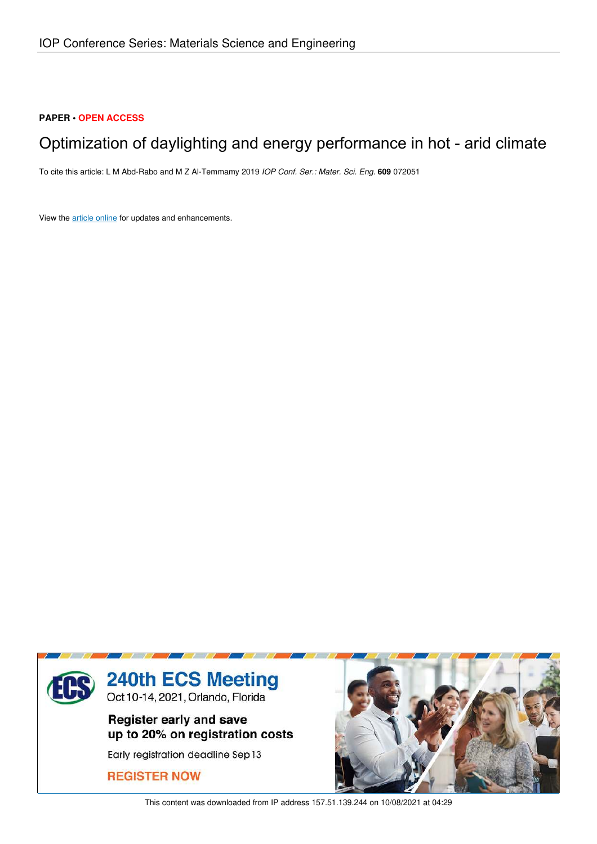# **PAPER • OPEN ACCESS**

# Optimization of daylighting and energy performance in hot - arid climate

To cite this article: L M Abd-Rabo and M Z Al-Temmamy 2019 *IOP Conf. Ser.: Mater. Sci. Eng.* **609** 072051

View the article online for updates and enhancements.



This content was downloaded from IP address 157.51.139.244 on 10/08/2021 at 04:29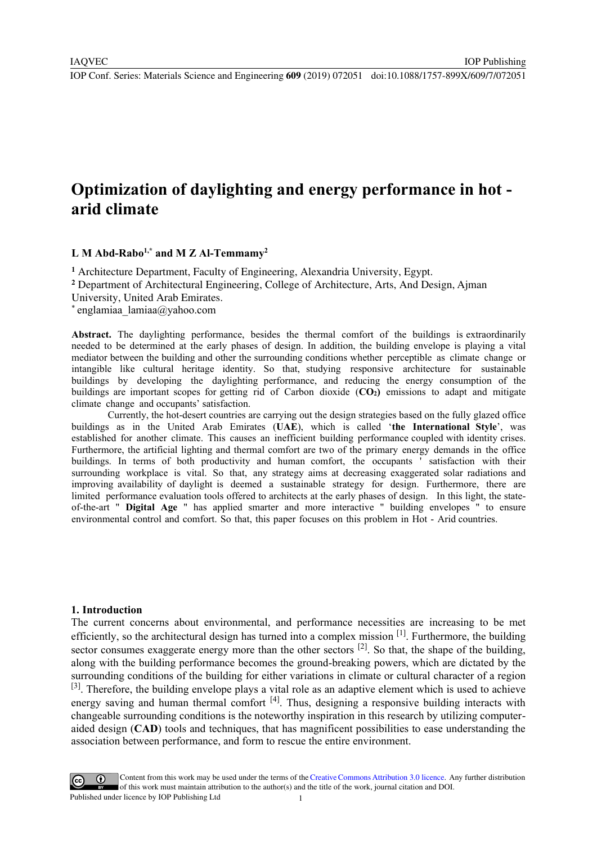IOP Conf. Series: Materials Science and Engineering **609** (2019) 072051 doi:10.1088/1757-899X/609/7/072051

IOP Publishing

# **Optimization of daylighting and energy performance in hot arid climate**

## **L M Abd-Rabo<sup>1</sup>,\* and M Z Al-Temmamy<sup>2</sup>**

**<sup>1</sup>** Architecture Department, Faculty of Engineering, Alexandria University, Egypt.

**<sup>2</sup>** Department of Architectural Engineering, College of Architecture, Arts, And Design, Ajman

University, United Arab Emirates.

\* englamiaa\_lamiaa@yahoo.com

**Abstract.** The daylighting performance, besides the thermal comfort of the buildings is extraordinarily needed to be determined at the early phases of design. In addition, the building envelope is playing a vital mediator between the building and other the surrounding conditions whether perceptible as climate change or intangible like cultural heritage identity. So that, studying responsive architecture for sustainable buildings by developing the daylighting performance, and reducing the energy consumption of the buildings are important scopes for getting rid of Carbon dioxide (**CO2)** emissions to adapt and mitigate climate change and occupants' satisfaction.

Currently, the hot-desert countries are carrying out the design strategies based on the fully glazed office buildings as in the United Arab Emirates (**UAE**), which is called '**the International Style**', was established for another climate. This causes an inefficient building performance coupled with identity crises. Furthermore, the artificial lighting and thermal comfort are two of the primary energy demands in the office buildings. In terms of both productivity and human comfort, the occupants ' satisfaction with their surrounding workplace is vital. So that, any strategy aims at decreasing exaggerated solar radiations and improving availability of daylight is deemed a sustainable strategy for design. Furthermore, there are limited performance evaluation tools offered to architects at the early phases of design. In this light, the stateof-the-art " **Digital Age** " has applied smarter and more interactive " building envelopes " to ensure environmental control and comfort. So that, this paper focuses on this problem in Hot - Arid countries.

#### **1. Introduction**

The current concerns about environmental, and performance necessities are increasing to be met efficiently, so the architectural design has turned into a complex mission [1]. Furthermore, the building sector consumes exaggerate energy more than the other sectors  $[2]$ . So that, the shape of the building, along with the building performance becomes the ground-breaking powers, which are dictated by the surrounding conditions of the building for either variations in climate or cultural character of a region [3]. Therefore, the building envelope plays a vital role as an adaptive element which is used to achieve energy saving and human thermal comfort <sup>[4]</sup>. Thus, designing a responsive building interacts with changeable surrounding conditions is the noteworthy inspiration in this research by utilizing computeraided design (**CAD**) tools and techniques, that has magnificent possibilities to ease understanding the association between performance, and form to rescue the entire environment.

Content from this work may be used under the terms of the Creative Commons Attribution 3.0 licence. Any further distribution of this work must maintain attribution to the author(s) and the title of the work, journal citation and DOI. Published under licence by IOP Publishing Ltd 1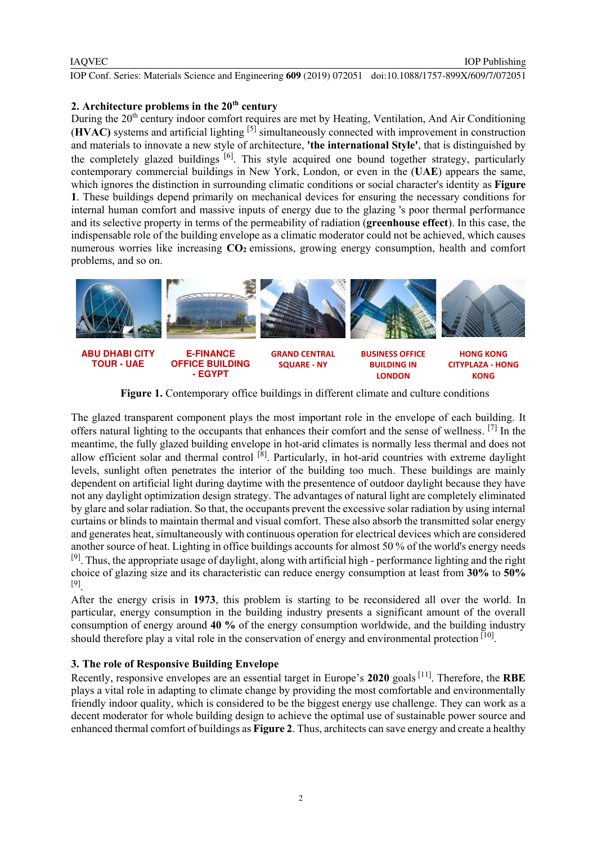### IAQVEC

IOP Conf. Series: Materials Science and Engineering **609** (2019) 072051 doi:10.1088/1757-899X/609/7/072051

# **2. Architecture problems in the 20th century**

During the 20<sup>th</sup> century indoor comfort requires are met by Heating, Ventilation, And Air Conditioning (**HVAC)** systems and artificial lighting [5] simultaneously connected with improvement in construction and materials to innovate a new style of architecture, **'the international Style'**, that is distinguished by the completely glazed buildings [6]. This style acquired one bound together strategy, particularly contemporary commercial buildings in New York, London, or even in the (**UAE**) appears the same, which ignores the distinction in surrounding climatic conditions or social character's identity as **Figure 1**. These buildings depend primarily on mechanical devices for ensuring the necessary conditions for internal human comfort and massive inputs of energy due to the glazing 's poor thermal performance and its selective property in terms of the permeability of radiation (**greenhouse effect**). In this case, the indispensable role of the building envelope as a climatic moderator could not be achieved, which causes numerous worries like increasing **CO<sup>2</sup>** emissions, growing energy consumption, health and comfort problems, and so on.



**Figure 1.** Contemporary office buildings in different climate and culture conditions

The glazed transparent component plays the most important role in the envelope of each building. It offers natural lighting to the occupants that enhances their comfort and the sense of wellness. [7] In the meantime, the fully glazed building envelope in hot-arid climates is normally less thermal and does not allow efficient solar and thermal control <sup>[8]</sup>. Particularly, in hot-arid countries with extreme daylight levels, sunlight often penetrates the interior of the building too much. These buildings are mainly dependent on artificial light during daytime with the presentence of outdoor daylight because they have not any daylight optimization design strategy. The advantages of natural light are completely eliminated by glare and solar radiation. So that, the occupants prevent the excessive solar radiation by using internal curtains or blinds to maintain thermal and visual comfort. These also absorb the transmitted solar energy and generates heat, simultaneously with continuous operation for electrical devices which are considered another source of heat. Lighting in office buildings accounts for almost 50 % of the world's energy needs <sup>[9]</sup>. Thus, the appropriate usage of daylight, along with artificial high - performance lighting and the right choice of glazing size and its characteristic can reduce energy consumption at least from **30%** to **50%** [9] .

After the energy crisis in **1973**, this problem is starting to be reconsidered all over the world. In particular, energy consumption in the building industry presents a significant amount of the overall consumption of energy around **40 %** of the energy consumption worldwide, and the building industry should therefore play a vital role in the conservation of energy and environmental protection  $[10]$ .

## **3. The role of Responsive Building Envelope**

Recently, responsive envelopes are an essential target in Europe's **2020** goals [11] . Therefore, the **RBE** plays a vital role in adapting to climate change by providing the most comfortable and environmentally friendly indoor quality, which is considered to be the biggest energy use challenge. They can work as a decent moderator for whole building design to achieve the optimal use of sustainable power source and enhanced thermal comfort of buildings as **Figure 2**. Thus, architects can save energy and create a healthy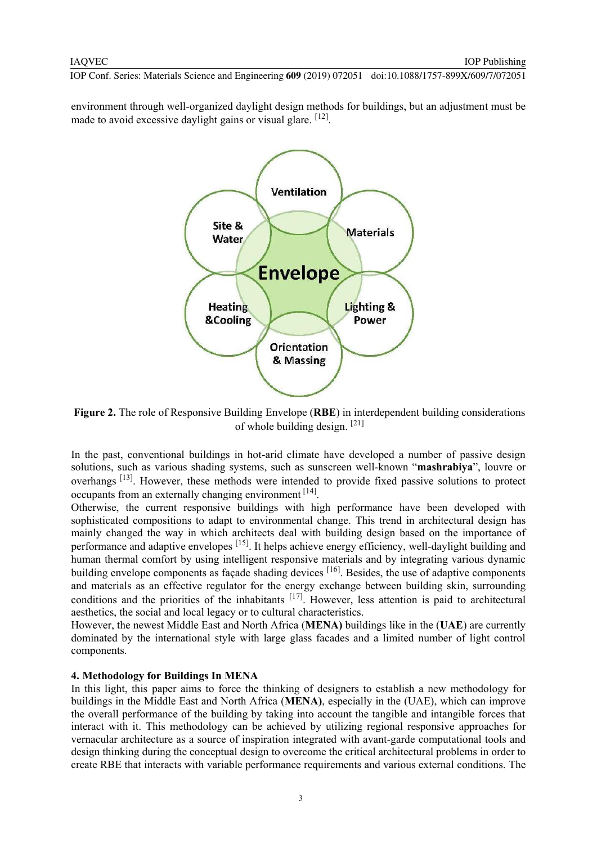IOP Conf. Series: Materials Science and Engineering **609** (2019) 072051 doi:10.1088/1757-899X/609/7/072051

environment through well-organized daylight design methods for buildings, but an adjustment must be made to avoid excessive daylight gains or visual glare. [12].



**Figure 2.** The role of Responsive Building Envelope (**RBE**) in interdependent building considerations of whole building design. [21]

In the past, conventional buildings in hot-arid climate have developed a number of passive design solutions, such as various shading systems, such as sunscreen well-known "**mashrabiya**", louvre or overhangs<sup>[13]</sup>. However, these methods were intended to provide fixed passive solutions to protect occupants from an externally changing environment [14].

Otherwise, the current responsive buildings with high performance have been developed with sophisticated compositions to adapt to environmental change. This trend in architectural design has mainly changed the way in which architects deal with building design based on the importance of performance and adaptive envelopes <sup>[15]</sup>. It helps achieve energy efficiency, well-daylight building and human thermal comfort by using intelligent responsive materials and by integrating various dynamic building envelope components as façade shading devices <sup>[16]</sup>. Besides, the use of adaptive components and materials as an effective regulator for the energy exchange between building skin, surrounding conditions and the priorities of the inhabitants  $[17]$ . However, less attention is paid to architectural aesthetics, the social and local legacy or to cultural characteristics.

However, the newest Middle East and North Africa (**MENA)** buildings like in the (**UAE**) are currently dominated by the international style with large glass facades and a limited number of light control components.

## **4. Methodology for Buildings In MENA**

In this light, this paper aims to force the thinking of designers to establish a new methodology for buildings in the Middle East and North Africa (**MENA)**, especially in the (UAE), which can improve the overall performance of the building by taking into account the tangible and intangible forces that interact with it. This methodology can be achieved by utilizing regional responsive approaches for vernacular architecture as a source of inspiration integrated with avant-garde computational tools and design thinking during the conceptual design to overcome the critical architectural problems in order to create RBE that interacts with variable performance requirements and various external conditions. The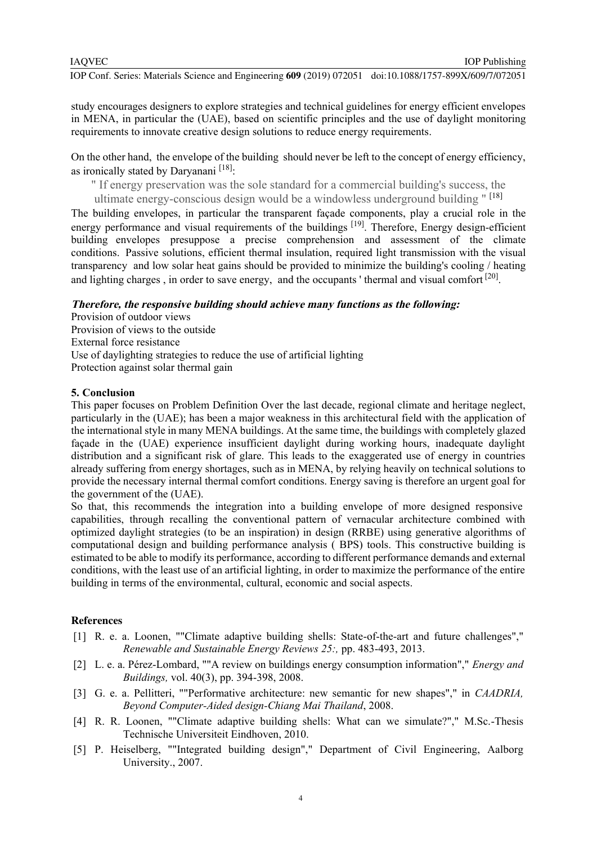IOP Publishing

study encourages designers to explore strategies and technical guidelines for energy efficient envelopes in MENA, in particular the (UAE), based on scientific principles and the use of daylight monitoring requirements to innovate creative design solutions to reduce energy requirements.

On the other hand, the envelope of the building should never be left to the concept of energy efficiency, as ironically stated by Daryanani<sup> $[18]$ </sup>:

" If energy preservation was the sole standard for a commercial building's success, the

ultimate energy-conscious design would be a windowless underground building " [18]

The building envelopes, in particular the transparent façade components, play a crucial role in the energy performance and visual requirements of the buildings <sup>[19]</sup>. Therefore, Energy design-efficient building envelopes presuppose a precise comprehension and assessment of the climate conditions. Passive solutions, efficient thermal insulation, required light transmission with the visual transparency and low solar heat gains should be provided to minimize the building's cooling / heating and lighting charges, in order to save energy, and the occupants ' thermal and visual comfort  $[20]$ .

### **Therefore, the responsive building should achieve many functions as the following:**

Provision of outdoor views Provision of views to the outside External force resistance Use of daylighting strategies to reduce the use of artificial lighting Protection against solar thermal gain

# **5. Conclusion**

This paper focuses on Problem Definition Over the last decade, regional climate and heritage neglect, particularly in the (UAE); has been a major weakness in this architectural field with the application of the international style in many MENA buildings. At the same time, the buildings with completely glazed façade in the (UAE) experience insufficient daylight during working hours, inadequate daylight distribution and a significant risk of glare. This leads to the exaggerated use of energy in countries already suffering from energy shortages, such as in MENA, by relying heavily on technical solutions to provide the necessary internal thermal comfort conditions. Energy saving is therefore an urgent goal for the government of the (UAE).

So that, this recommends the integration into a building envelope of more designed responsive capabilities, through recalling the conventional pattern of vernacular architecture combined with optimized daylight strategies (to be an inspiration) in design (RRBE) using generative algorithms of computational design and building performance analysis ( BPS) tools. This constructive building is estimated to be able to modify its performance, according to different performance demands and external conditions, with the least use of an artificial lighting, in order to maximize the performance of the entire building in terms of the environmental, cultural, economic and social aspects.

### **References**

- [1] R. e. a. Loonen, ""Climate adaptive building shells: State-of-the-art and future challenges"," *Renewable and Sustainable Energy Reviews 25:,* pp. 483-493, 2013.
- [2] L. e. a. Pérez-Lombard, ""A review on buildings energy consumption information"," *Energy and Buildings,* vol. 40(3), pp. 394-398, 2008.
- [3] G. e. a. Pellitteri, ""Performative architecture: new semantic for new shapes"," in *CAADRIA, Beyond Computer-Aided design-Chiang Mai Thailand*, 2008.
- [4] R. R. Loonen, ""Climate adaptive building shells: What can we simulate?"," M.Sc.-Thesis Technische Universiteit Eindhoven, 2010.
- [5] P. Heiselberg, ""Integrated building design"," Department of Civil Engineering, Aalborg University., 2007.